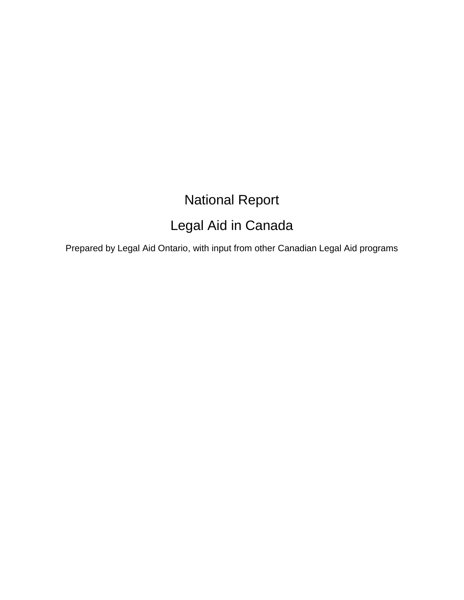# National Report

## Legal Aid in Canada

Prepared by Legal Aid Ontario, with input from other Canadian Legal Aid programs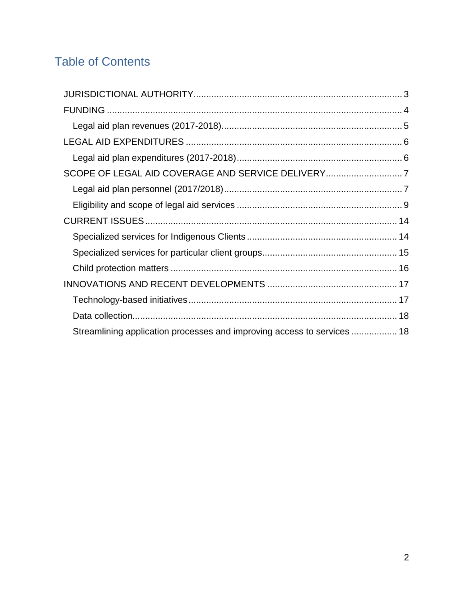## Table of Contents

| Streamlining application processes and improving access to services  18 |  |
|-------------------------------------------------------------------------|--|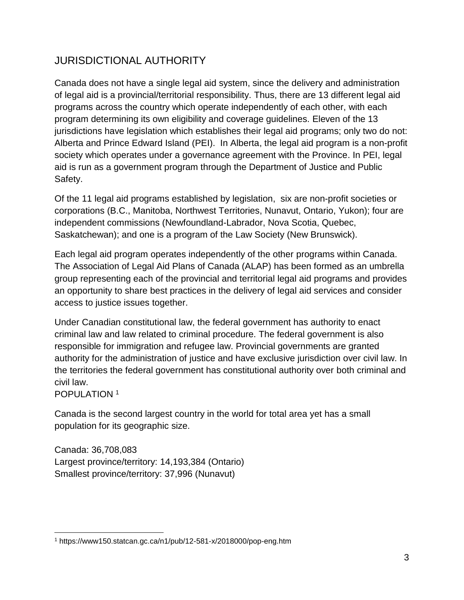## <span id="page-2-0"></span>JURISDICTIONAL AUTHORITY

Canada does not have a single legal aid system, since the delivery and administration of legal aid is a provincial/territorial responsibility. Thus, there are 13 different legal aid programs across the country which operate independently of each other, with each program determining its own eligibility and coverage guidelines. Eleven of the 13 jurisdictions have legislation which establishes their legal aid programs; only two do not: Alberta and Prince Edward Island (PEI). In Alberta, the legal aid program is a non-profit society which operates under a governance agreement with the Province. In PEI, legal aid is run as a government program through the Department of Justice and Public Safety.

Of the 11 legal aid programs established by legislation, six are non-profit societies or corporations (B.C., Manitoba, Northwest Territories, Nunavut, Ontario, Yukon); four are independent commissions (Newfoundland-Labrador, Nova Scotia, Quebec, Saskatchewan); and one is a program of the Law Society (New Brunswick).

Each legal aid program operates independently of the other programs within Canada. The Association of Legal Aid Plans of Canada (ALAP) has been formed as an umbrella group representing each of the provincial and territorial legal aid programs and provides an opportunity to share best practices in the delivery of legal aid services and consider access to justice issues together.

Under Canadian constitutional law, the federal government has authority to enact criminal law and law related to criminal procedure. The federal government is also responsible for immigration and refugee law. Provincial governments are granted authority for the administration of justice and have exclusive jurisdiction over civil law. In the territories the federal government has constitutional authority over both criminal and civil law.

POPULATION<sup>1</sup>

Canada is the second largest country in the world for total area yet has a small population for its geographic size.

Canada: 36,708,083 Largest province/territory: 14,193,384 (Ontario) Smallest province/territory: 37,996 (Nunavut)

 $\overline{a}$ <sup>1</sup> https://www150.statcan.gc.ca/n1/pub/12-581-x/2018000/pop-eng.htm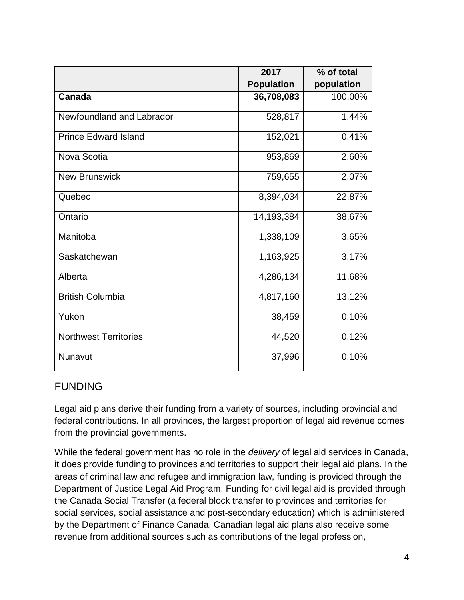|                              | 2017              | % of total |
|------------------------------|-------------------|------------|
|                              | <b>Population</b> | population |
| Canada                       | 36,708,083        | 100.00%    |
| Newfoundland and Labrador    | 528,817           | 1.44%      |
| <b>Prince Edward Island</b>  | 152,021           | 0.41%      |
| Nova Scotia                  | 953,869           | 2.60%      |
| <b>New Brunswick</b>         | 759,655           | 2.07%      |
| Quebec                       | 8,394,034         | 22.87%     |
| Ontario                      | 14,193,384        | 38.67%     |
| Manitoba                     | 1,338,109         | 3.65%      |
| Saskatchewan                 | 1,163,925         | 3.17%      |
| Alberta                      | 4,286,134         | 11.68%     |
| <b>British Columbia</b>      | 4,817,160         | 13.12%     |
| Yukon                        | 38,459            | 0.10%      |
| <b>Northwest Territories</b> | 44,520            | 0.12%      |
| Nunavut                      | 37,996            | 0.10%      |

#### <span id="page-3-0"></span>FUNDING

Legal aid plans derive their funding from a variety of sources, including provincial and federal contributions. In all provinces, the largest proportion of legal aid revenue comes from the provincial governments.

While the federal government has no role in the *delivery* of legal aid services in Canada, it does provide funding to provinces and territories to support their legal aid plans. In the areas of criminal law and refugee and immigration law, funding is provided through the Department of Justice Legal Aid Program. Funding for civil legal aid is provided through the Canada Social Transfer (a federal block transfer to provinces and territories for social services, social assistance and post-secondary education) which is administered by the Department of Finance Canada. Canadian legal aid plans also receive some revenue from additional sources such as contributions of the legal profession,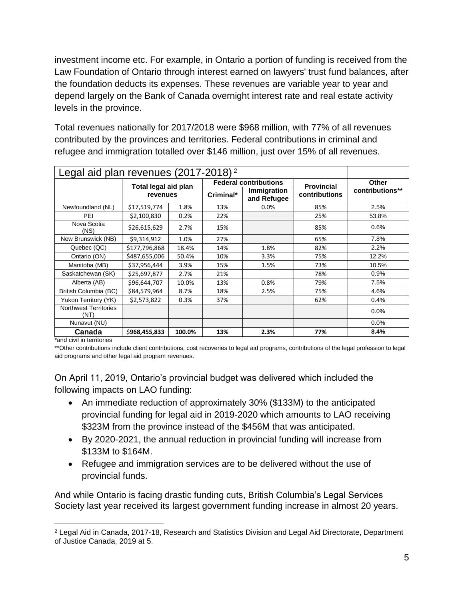investment income etc. For example, in Ontario a portion of funding is received from the Law Foundation of Ontario through interest earned on lawyers' trust fund balances, after the foundation deducts its expenses. These revenues are variable year to year and depend largely on the Bank of Canada overnight interest rate and real estate activity levels in the province.

Total revenues nationally for 2017/2018 were \$968 million, with 77% of all revenues contributed by the provinces and territories. Federal contributions in criminal and refugee and immigration totalled over \$146 million, just over 15% of all revenues.

<span id="page-4-0"></span>

| Legal aid plan revenues (2017-2018) <sup>2</sup> |                      |        |           |                              |                   |                 |  |
|--------------------------------------------------|----------------------|--------|-----------|------------------------------|-------------------|-----------------|--|
|                                                  | Total legal aid plan |        |           | <b>Federal contributions</b> | <b>Provincial</b> | <b>Other</b>    |  |
|                                                  | revenues             |        | Criminal* | Immigration<br>and Refugee   | contributions     | contributions** |  |
| Newfoundland (NL)                                | \$17,519,774         | 1.8%   | 13%       | $0.0\%$                      | 85%               | 2.5%            |  |
| PEI                                              | \$2,100,830          | 0.2%   | 22%       |                              | 25%               | 53.8%           |  |
| Nova Scotia<br>(NS)                              | \$26,615,629         | 2.7%   | 15%       |                              | 85%               | 0.6%            |  |
| New Brunswick (NB)                               | \$9,314,912          | 1.0%   | 27%       |                              | 65%               | 7.8%            |  |
| Quebec (QC)                                      | \$177,796,868        | 18.4%  | 14%       | 1.8%                         | 82%               | 2.2%            |  |
| Ontario (ON)                                     | \$487,655,006        | 50.4%  | 10%       | 3.3%                         | 75%               | 12.2%           |  |
| Manitoba (MB)                                    | \$37,956,444         | 3.9%   | 15%       | 1.5%                         | 73%               | 10.5%           |  |
| Saskatchewan (SK)                                | \$25,697,877         | 2.7%   | 21%       |                              | 78%               | 0.9%            |  |
| Alberta (AB)                                     | \$96,644,707         | 10.0%  | 13%       | 0.8%                         | 79%               | 7.5%            |  |
| British Columbia (BC)                            | \$84,579,964         | 8.7%   | 18%       | 2.5%                         | 75%               | 4.6%            |  |
| Yukon Territory (YK)                             | \$2,573,822          | 0.3%   | 37%       |                              | 62%               | 0.4%            |  |
| <b>Northwest Territories</b><br>(NT)             |                      |        |           |                              |                   | 0.0%            |  |
| Nunavut (NU)                                     |                      |        |           |                              |                   | 0.0%            |  |
| Canada                                           | \$968,455,833        | 100.0% | 13%       | 2.3%                         | 77%               | 8.4%            |  |

\*and civil in territories

 $\overline{a}$ 

\*\*Other contributions include client contributions, cost recoveries to legal aid programs, contributions of the legal profession to legal aid programs and other legal aid program revenues.

On April 11, 2019, Ontario's provincial budget was delivered which included the following impacts on LAO funding:

- An immediate reduction of approximately 30% (\$133M) to the anticipated provincial funding for legal aid in 2019-2020 which amounts to LAO receiving \$323M from the province instead of the \$456M that was anticipated.
- By 2020-2021, the annual reduction in provincial funding will increase from \$133M to \$164M.
- Refugee and immigration services are to be delivered without the use of provincial funds.

And while Ontario is facing drastic funding cuts, British Columbia's Legal Services Society last year received its largest government funding increase in almost 20 years.

<sup>2</sup> Legal Aid in Canada, 2017-18, Research and Statistics Division and Legal Aid Directorate, Department of Justice Canada, 2019 at 5.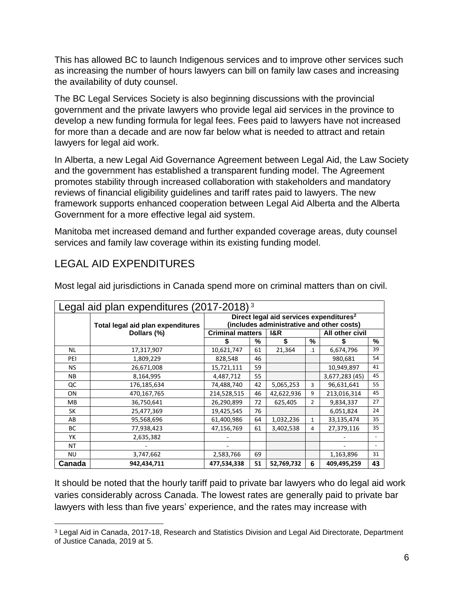This has allowed BC to launch Indigenous services and to improve other services such as increasing the number of hours lawyers can bill on family law cases and increasing the availability of duty counsel.

The BC Legal Services Society is also beginning discussions with the provincial government and the private lawyers who provide legal aid services in the province to develop a new funding formula for legal fees. Fees paid to lawyers have not increased for more than a decade and are now far below what is needed to attract and retain lawyers for legal aid work.

In Alberta, a new Legal Aid Governance Agreement between Legal Aid, the Law Society and the government has established a transparent funding model. The Agreement promotes stability through increased collaboration with stakeholders and mandatory reviews of financial eligibility guidelines and tariff rates paid to lawyers. The new framework supports enhanced cooperation between Legal Aid Alberta and the Alberta Government for a more effective legal aid system.

Manitoba met increased demand and further expanded coverage areas, duty counsel services and family law coverage within its existing funding model.

### <span id="page-5-0"></span>LEGAL AID EXPENDITURES

 $\overline{a}$ 

<span id="page-5-1"></span>

| Legal aid plan expenditures (2017-2018) <sup>3</sup> |                                   |                                                                                                  |                                           |            |                |                 |    |  |  |
|------------------------------------------------------|-----------------------------------|--------------------------------------------------------------------------------------------------|-------------------------------------------|------------|----------------|-----------------|----|--|--|
|                                                      | Total legal aid plan expenditures | Direct legal aid services expenditures <sup>2</sup><br>(includes administrative and other costs) |                                           |            |                |                 |    |  |  |
|                                                      | Dollars (%)                       |                                                                                                  | <b>Criminal matters</b><br><b>I&amp;R</b> |            |                | All other civil |    |  |  |
|                                                      |                                   |                                                                                                  | %                                         | \$         | ℅              | \$              | %  |  |  |
| NL                                                   | 17,317,907                        | 10,621,747                                                                                       | 61                                        | 21,364     | $\cdot$ 1      | 6,674,796       | 39 |  |  |
| PEI                                                  | 1,809,229                         | 828,548                                                                                          | 46                                        |            |                | 980,681         | 54 |  |  |
| NS.                                                  | 26,671,008                        | 15,721,111                                                                                       | 59                                        |            |                | 10,949,897      | 41 |  |  |
| ΝB                                                   | 8,164,995                         | 4,487,712                                                                                        | 55                                        |            |                | 3,677,283 (45)  | 45 |  |  |
| QC                                                   | 176,185,634                       | 74,488,740                                                                                       | 42                                        | 5,065,253  | 3              | 96,631,641      | 55 |  |  |
| ON                                                   | 470,167,765                       | 214,528,515                                                                                      | 46                                        | 42,622,936 | 9              | 213,016,314     | 45 |  |  |
| MB.                                                  | 36,750,641                        | 26,290,899                                                                                       | 72                                        | 625,405    | $\overline{2}$ | 9,834,337       | 27 |  |  |
| SK                                                   | 25,477,369                        | 19,425,545                                                                                       | 76                                        |            |                | 6,051,824       | 24 |  |  |
| AB                                                   | 95,568,696                        | 61,400,986                                                                                       | 64                                        | 1,032,236  | 1              | 33,135,474      | 35 |  |  |
| BС                                                   | 77,938,423                        | 47,156,769                                                                                       | 61                                        | 3,402,538  | 4              | 27,379,116      | 35 |  |  |
| YK                                                   | 2,635,382                         |                                                                                                  |                                           |            |                |                 |    |  |  |
| NΤ                                                   |                                   |                                                                                                  |                                           |            |                |                 |    |  |  |
| <b>NU</b>                                            | 3,747,662                         | 2,583,766                                                                                        | 69                                        |            |                | 1,163,896       | 31 |  |  |
| Canada                                               | 942,434,711                       | 477,534,338                                                                                      | 51                                        | 52,769,732 | 6              | 409,495,259     | 43 |  |  |

Most legal aid jurisdictions in Canada spend more on criminal matters than on civil.

It should be noted that the hourly tariff paid to private bar lawyers who do legal aid work varies considerably across Canada. The lowest rates are generally paid to private bar lawyers with less than five years' experience, and the rates may increase with

<sup>3</sup> Legal Aid in Canada, 2017-18, Research and Statistics Division and Legal Aid Directorate, Department of Justice Canada, 2019 at 5.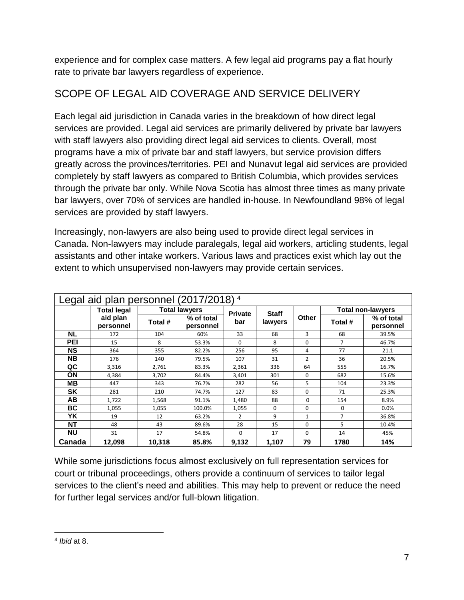experience and for complex case matters. A few legal aid programs pay a flat hourly rate to private bar lawyers regardless of experience.

## <span id="page-6-0"></span>SCOPE OF LEGAL AID COVERAGE AND SERVICE DELIVERY

Each legal aid jurisdiction in Canada varies in the breakdown of how direct legal services are provided. Legal aid services are primarily delivered by private bar lawyers with staff lawyers also providing direct legal aid services to clients. Overall, most programs have a mix of private bar and staff lawyers, but service provision differs greatly across the provinces/territories. PEI and Nunavut legal aid services are provided completely by staff lawyers as compared to British Columbia, which provides services through the private bar only. While Nova Scotia has almost three times as many private bar lawyers, over 70% of services are handled in-house. In Newfoundland 98% of legal services are provided by staff lawyers.

Increasingly, non-lawyers are also being used to provide direct legal services in Canada. Non-lawyers may include paralegals, legal aid workers, articling students, legal assistants and other intake workers. Various laws and practices exist which lay out the extent to which unsupervised non-lawyers may provide certain services.

<span id="page-6-1"></span>

| Legal aid plan personnel (2017/2018) <sup>4</sup> |                       |         |                         |                |              |                |                |                          |
|---------------------------------------------------|-----------------------|---------|-------------------------|----------------|--------------|----------------|----------------|--------------------------|
|                                                   | <b>Total legal</b>    |         | <b>Total lawyers</b>    | <b>Private</b> | <b>Staff</b> |                |                | <b>Total non-lawyers</b> |
|                                                   | aid plan<br>personnel | Total # | % of total<br>personnel | bar            | lawyers      | Other          | Total #        | % of total<br>personnel  |
| <b>NL</b>                                         | 172                   | 104     | 60%                     | 33             | 68           | 3              | 68             | 39.5%                    |
| PEI                                               | 15                    | 8       | 53.3%                   | $\Omega$       | 8            | $\Omega$       | 7              | 46.7%                    |
| <b>NS</b>                                         | 364                   | 355     | 82.2%                   | 256            | 95           | 4              | 77             | 21.1                     |
| <b>NB</b>                                         | 176                   | 140     | 79.5%                   | 107            | 31           | $\overline{2}$ | 36             | 20.5%                    |
| QC                                                | 3,316                 | 2,761   | 83.3%                   | 2,361          | 336          | 64             | 555            | 16.7%                    |
| ΟN                                                | 4,384                 | 3,702   | 84.4%                   | 3,401          | 301          | $\Omega$       | 682            | 15.6%                    |
| MВ                                                | 447                   | 343     | 76.7%                   | 282            | 56           | 5              | 104            | 23.3%                    |
| <b>SK</b>                                         | 281                   | 210     | 74.7%                   | 127            | 83           | $\Omega$       | 71             | 25.3%                    |
| AВ                                                | 1,722                 | 1,568   | 91.1%                   | 1,480          | 88           | $\Omega$       | 154            | 8.9%                     |
| ВC                                                | 1,055                 | 1,055   | 100.0%                  | 1,055          | $\mathbf 0$  | $\Omega$       | 0              | 0.0%                     |
| YK                                                | 19                    | 12      | 63.2%                   | $\overline{2}$ | 9            | $\mathbf{1}$   | $\overline{7}$ | 36.8%                    |
| <b>NT</b>                                         | 48                    | 43      | 89.6%                   | 28             | 15           | $\Omega$       | 5              | 10.4%                    |
| <b>NU</b>                                         | 31                    | 17      | 54.8%                   | $\Omega$       | 17           | $\Omega$       | 14             | 45%                      |
| Canada                                            | 12,098                | 10,318  | 85.8%                   | 9,132          | 1,107        | 79             | 1780           | 14%                      |

While some jurisdictions focus almost exclusively on full representation services for court or tribunal proceedings, others provide a continuum of services to tailor legal services to the client's need and abilities. This may help to prevent or reduce the need for further legal services and/or full-blown litigation.

 $\overline{a}$ 4 *Ibid* at 8.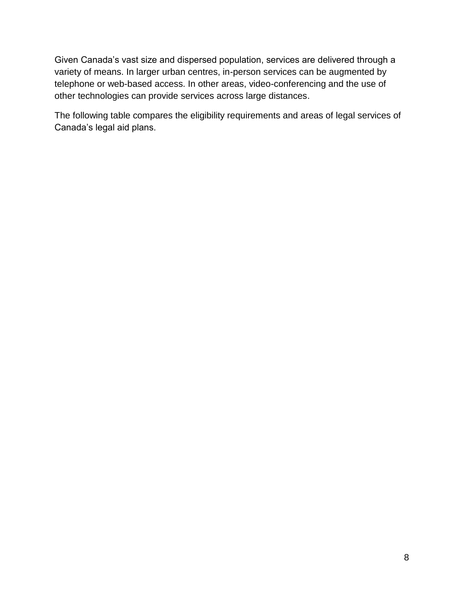Given Canada's vast size and dispersed population, services are delivered through a variety of means. In larger urban centres, in-person services can be augmented by telephone or web-based access. In other areas, video-conferencing and the use of other technologies can provide services across large distances.

The following table compares the eligibility requirements and areas of legal services of Canada's legal aid plans.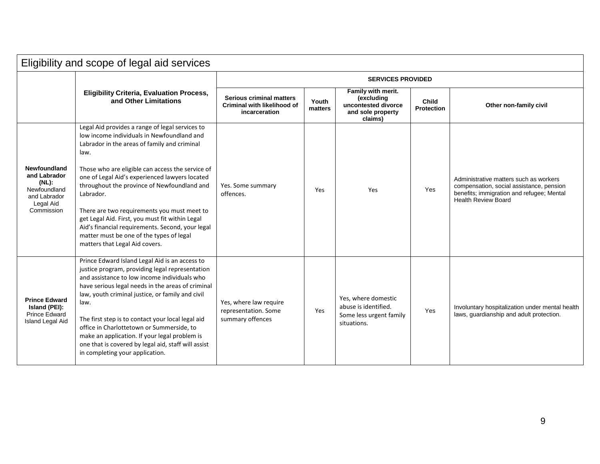<span id="page-8-0"></span>

| Eligibility and scope of legal aid services                                       |                                                                                                                                                                                                                                                                                                                                                                                                                                                                                                                 |                                                                                        |                  |                                                                                         |                            |                                                                                                                                                               |  |
|-----------------------------------------------------------------------------------|-----------------------------------------------------------------------------------------------------------------------------------------------------------------------------------------------------------------------------------------------------------------------------------------------------------------------------------------------------------------------------------------------------------------------------------------------------------------------------------------------------------------|----------------------------------------------------------------------------------------|------------------|-----------------------------------------------------------------------------------------|----------------------------|---------------------------------------------------------------------------------------------------------------------------------------------------------------|--|
|                                                                                   |                                                                                                                                                                                                                                                                                                                                                                                                                                                                                                                 | <b>SERVICES PROVIDED</b>                                                               |                  |                                                                                         |                            |                                                                                                                                                               |  |
|                                                                                   | <b>Eligibility Criteria, Evaluation Process,</b><br>and Other Limitations                                                                                                                                                                                                                                                                                                                                                                                                                                       | <b>Serious criminal matters</b><br><b>Criminal with likelihood of</b><br>incarceration | Youth<br>matters | Family with merit.<br>(excluding<br>uncontested divorce<br>and sole property<br>claims) | Child<br><b>Protection</b> | Other non-family civil                                                                                                                                        |  |
| <b>Newfoundland</b><br>and Labrador<br>(NL):<br>Newfoundland<br>and Labrador      | Legal Aid provides a range of legal services to<br>low income individuals in Newfoundland and<br>Labrador in the areas of family and criminal<br>law.<br>Those who are eligible can access the service of<br>one of Legal Aid's experienced lawyers located<br>throughout the province of Newfoundland and<br>Labrador.                                                                                                                                                                                         | Yes. Some summary<br>offences.                                                         | Yes              | Yes                                                                                     | Yes                        | Administrative matters such as workers<br>compensation, social assistance, pension<br>benefits; immigration and refugee; Mental<br><b>Health Review Board</b> |  |
| Legal Aid<br>Commission                                                           | There are two requirements you must meet to<br>get Legal Aid. First, you must fit within Legal<br>Aid's financial requirements. Second, your legal<br>matter must be one of the types of legal<br>matters that Legal Aid covers.                                                                                                                                                                                                                                                                                |                                                                                        |                  |                                                                                         |                            |                                                                                                                                                               |  |
| <b>Prince Edward</b><br>Island (PEI):<br><b>Prince Edward</b><br>Island Legal Aid | Prince Edward Island Legal Aid is an access to<br>justice program, providing legal representation<br>and assistance to low income individuals who<br>have serious legal needs in the areas of criminal<br>law, youth criminal justice, or family and civil<br>law.<br>The first step is to contact your local legal aid<br>office in Charlottetown or Summerside, to<br>make an application. If your legal problem is<br>one that is covered by legal aid, staff will assist<br>in completing your application. | Yes, where law require<br>representation. Some<br>summary offences                     | Yes              | Yes, where domestic<br>abuse is identified.<br>Some less urgent family<br>situations.   | Yes                        | Involuntary hospitalization under mental health<br>laws, guardianship and adult protection.                                                                   |  |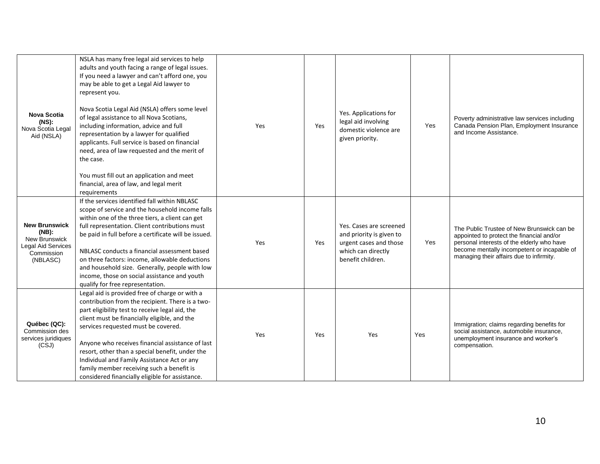| <b>Nova Scotia</b><br>(NS):<br>Nova Scotia Legal<br>Aid (NSLA)                                                  | NSLA has many free legal aid services to help<br>adults and youth facing a range of legal issues.<br>If you need a lawyer and can't afford one, you<br>may be able to get a Legal Aid lawyer to<br>represent you.<br>Nova Scotia Legal Aid (NSLA) offers some level<br>of legal assistance to all Nova Scotians,<br>including information, advice and full<br>representation by a lawyer for qualified<br>applicants. Full service is based on financial<br>need, area of law requested and the merit of<br>the case.<br>You must fill out an application and meet<br>financial, area of law, and legal merit<br>requirements | Yes | Yes | Yes. Applications for<br>legal aid involving<br>domestic violence are<br>given priority.                                 | Yes | Poverty administrative law services including<br>Canada Pension Plan, Employment Insurance<br>and Income Assistance.                                                                                                             |
|-----------------------------------------------------------------------------------------------------------------|-------------------------------------------------------------------------------------------------------------------------------------------------------------------------------------------------------------------------------------------------------------------------------------------------------------------------------------------------------------------------------------------------------------------------------------------------------------------------------------------------------------------------------------------------------------------------------------------------------------------------------|-----|-----|--------------------------------------------------------------------------------------------------------------------------|-----|----------------------------------------------------------------------------------------------------------------------------------------------------------------------------------------------------------------------------------|
| <b>New Brunswick</b><br>$(NB)$ :<br><b>New Brunswick</b><br><b>Legal Aid Services</b><br>Commission<br>(NBLASC) | If the services identified fall within NBLASC<br>scope of service and the household income falls<br>within one of the three tiers, a client can get<br>full representation. Client contributions must<br>be paid in full before a certificate will be issued.<br>NBLASC conducts a financial assessment based<br>on three factors: income, allowable deductions<br>and household size. Generally, people with low<br>income, those on social assistance and youth<br>qualify for free representation.                                                                                                                         | Yes | Yes | Yes. Cases are screened<br>and priority is given to<br>urgent cases and those<br>which can directly<br>benefit children. | Yes | The Public Trustee of New Brunswick can be<br>appointed to protect the financial and/or<br>personal interests of the elderly who have<br>become mentally incompetent or incapable of<br>managing their affairs due to infirmity. |
| Québec (QC):<br>Commission des<br>services juridiques<br>(CSJ)                                                  | Legal aid is provided free of charge or with a<br>contribution from the recipient. There is a two-<br>part eligibility test to receive legal aid, the<br>client must be financially eligible, and the<br>services requested must be covered.<br>Anyone who receives financial assistance of last<br>resort, other than a special benefit, under the<br>Individual and Family Assistance Act or any<br>family member receiving such a benefit is<br>considered financially eligible for assistance.                                                                                                                            | Yes | Yes | Yes                                                                                                                      | Yes | Immigration; claims regarding benefits for<br>social assistance, automobile insurance,<br>unemployment insurance and worker's<br>compensation.                                                                                   |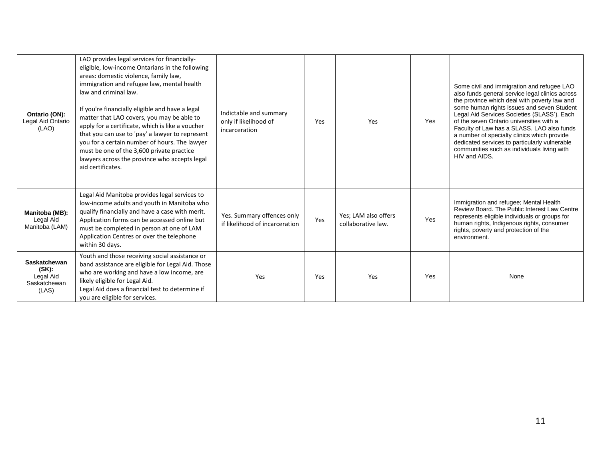| Ontario (ON):<br>Legal Aid Ontario<br>(LAO)                           | LAO provides legal services for financially-<br>eligible, low-income Ontarians in the following<br>areas: domestic violence, family law,<br>immigration and refugee law, mental health<br>law and criminal law.<br>If you're financially eligible and have a legal<br>matter that LAO covers, you may be able to<br>apply for a certificate, which is like a voucher<br>that you can use to 'pay' a lawyer to represent<br>you for a certain number of hours. The lawyer<br>must be one of the 3,600 private practice<br>lawyers across the province who accepts legal<br>aid certificates. | Indictable and summary<br>only if likelihood of<br>incarceration | Yes | Yes                                        | Yes | Some civil and immigration and refugee LAO<br>also funds general service legal clinics across<br>the province which deal with poverty law and<br>some human rights issues and seven Student<br>Legal Aid Services Societies (SLASS'). Each<br>of the seven Ontario universities with a<br>Faculty of Law has a SLASS. LAO also funds<br>a number of specialty clinics which provide<br>dedicated services to particularly vulnerable<br>communities such as individuals living with<br>HIV and AIDS. |
|-----------------------------------------------------------------------|---------------------------------------------------------------------------------------------------------------------------------------------------------------------------------------------------------------------------------------------------------------------------------------------------------------------------------------------------------------------------------------------------------------------------------------------------------------------------------------------------------------------------------------------------------------------------------------------|------------------------------------------------------------------|-----|--------------------------------------------|-----|------------------------------------------------------------------------------------------------------------------------------------------------------------------------------------------------------------------------------------------------------------------------------------------------------------------------------------------------------------------------------------------------------------------------------------------------------------------------------------------------------|
| Manitoba (MB):<br>Legal Aid<br>Manitoba (LAM)                         | Legal Aid Manitoba provides legal services to<br>low-income adults and youth in Manitoba who<br>qualify financially and have a case with merit.<br>Application forms can be accessed online but<br>must be completed in person at one of LAM<br>Application Centres or over the telephone<br>within 30 days.                                                                                                                                                                                                                                                                                | Yes. Summary offences only<br>if likelihood of incarceration     | Yes | Yes; LAM also offers<br>collaborative law. | Yes | Immigration and refugee; Mental Health<br>Review Board. The Public Interest Law Centre<br>represents eligible individuals or groups for<br>human rights, Indigenous rights, consumer<br>rights, poverty and protection of the<br>environment.                                                                                                                                                                                                                                                        |
| <b>Saskatchewan</b><br>$(SK)$ :<br>Legal Aid<br>Saskatchewan<br>(LAS) | Youth and those receiving social assistance or<br>band assistance are eligible for Legal Aid. Those<br>who are working and have a low income, are<br>likely eligible for Legal Aid.<br>Legal Aid does a financial test to determine if<br>you are eligible for services.                                                                                                                                                                                                                                                                                                                    | Yes                                                              | Yes | Yes                                        | Yes | None                                                                                                                                                                                                                                                                                                                                                                                                                                                                                                 |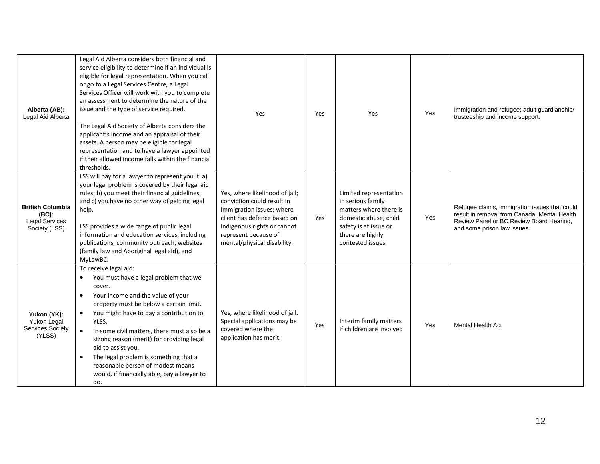| Alberta (AB):<br>Legal Aid Alberta                                  | Legal Aid Alberta considers both financial and<br>service eligibility to determine if an individual is<br>eligible for legal representation. When you call<br>or go to a Legal Services Centre, a Legal<br>Services Officer will work with you to complete<br>an assessment to determine the nature of the<br>issue and the type of service required.<br>The Legal Aid Society of Alberta considers the<br>applicant's income and an appraisal of their<br>assets. A person may be eligible for legal<br>representation and to have a lawyer appointed<br>if their allowed income falls within the financial<br>thresholds. | Yes                                                                                                                                                                                                            | Yes | Yes                                                                                                                                                              | Yes | Immigration and refugee; adult guardianship/<br>trusteeship and income support.                                                                                          |
|---------------------------------------------------------------------|-----------------------------------------------------------------------------------------------------------------------------------------------------------------------------------------------------------------------------------------------------------------------------------------------------------------------------------------------------------------------------------------------------------------------------------------------------------------------------------------------------------------------------------------------------------------------------------------------------------------------------|----------------------------------------------------------------------------------------------------------------------------------------------------------------------------------------------------------------|-----|------------------------------------------------------------------------------------------------------------------------------------------------------------------|-----|--------------------------------------------------------------------------------------------------------------------------------------------------------------------------|
| <b>British Columbia</b><br>(BC):<br>Legal Services<br>Society (LSS) | LSS will pay for a lawyer to represent you if: a)<br>your legal problem is covered by their legal aid<br>rules; b) you meet their financial guidelines,<br>and c) you have no other way of getting legal<br>help.<br>LSS provides a wide range of public legal<br>information and education services, including<br>publications, community outreach, websites<br>(family law and Aboriginal legal aid), and<br>MyLawBC.                                                                                                                                                                                                     | Yes, where likelihood of jail;<br>conviction could result in<br>immigration issues; where<br>client has defence based on<br>Indigenous rights or cannot<br>represent because of<br>mental/physical disability. | Yes | Limited representation<br>in serious family<br>matters where there is<br>domestic abuse, child<br>safety is at issue or<br>there are highly<br>contested issues. | Yes | Refugee claims, immigration issues that could<br>result in removal from Canada, Mental Health<br>Review Panel or BC Review Board Hearing,<br>and some prison law issues. |
| Yukon (YK):<br><b>Yukon Legal</b><br>Services Society<br>(YLSS)     | To receive legal aid:<br>You must have a legal problem that we<br>cover.<br>Your income and the value of your<br>$\bullet$<br>property must be below a certain limit.<br>You might have to pay a contribution to<br>$\bullet$<br>YLSS.<br>In some civil matters, there must also be a<br>$\bullet$<br>strong reason (merit) for providing legal<br>aid to assist you.<br>The legal problem is something that a<br>$\bullet$<br>reasonable person of modest means<br>would, if financially able, pay a lawyer to<br>do.                                                                                                      | Yes, where likelihood of jail.<br>Special applications may be<br>covered where the<br>application has merit.                                                                                                   | Yes | Interim family matters<br>if children are involved                                                                                                               | Yes | <b>Mental Health Act</b>                                                                                                                                                 |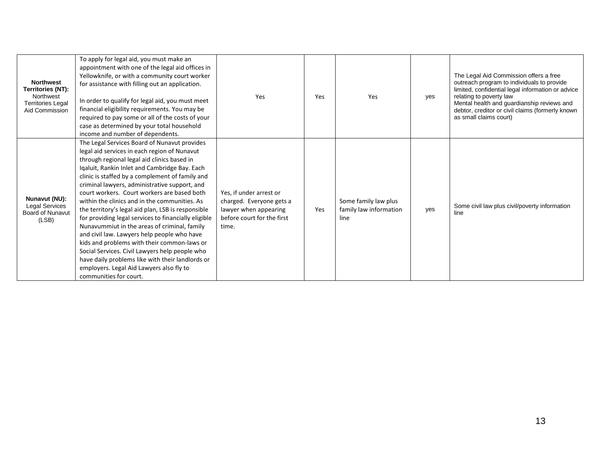| <b>Northwest</b><br>Territories (NT):<br>Northwest<br><b>Territories Legal</b><br>Aid Commission | To apply for legal aid, you must make an<br>appointment with one of the legal aid offices in<br>Yellowknife, or with a community court worker<br>for assistance with filling out an application.<br>In order to qualify for legal aid, you must meet<br>financial eligibility requirements. You may be<br>required to pay some or all of the costs of your<br>case as determined by your total household<br>income and number of dependents.                                                                                                                                                                                                                                                                                                                                                                                             | Yes                                                                                                                 | Yes | Yes                                                    | yes | The Legal Aid Commission offers a free<br>outreach program to individuals to provide<br>limited, confidential legal information or advice<br>relating to poverty law<br>Mental health and guardianship reviews and<br>debtor, creditor or civil claims (formerly known<br>as small claims court) |
|--------------------------------------------------------------------------------------------------|------------------------------------------------------------------------------------------------------------------------------------------------------------------------------------------------------------------------------------------------------------------------------------------------------------------------------------------------------------------------------------------------------------------------------------------------------------------------------------------------------------------------------------------------------------------------------------------------------------------------------------------------------------------------------------------------------------------------------------------------------------------------------------------------------------------------------------------|---------------------------------------------------------------------------------------------------------------------|-----|--------------------------------------------------------|-----|--------------------------------------------------------------------------------------------------------------------------------------------------------------------------------------------------------------------------------------------------------------------------------------------------|
| Nunavut (NU):<br><b>Legal Services</b><br><b>Board of Nunavut</b><br>(LSB)                       | The Legal Services Board of Nunavut provides<br>legal aid services in each region of Nunavut<br>through regional legal aid clinics based in<br>Iqaluit, Rankin Inlet and Cambridge Bay. Each<br>clinic is staffed by a complement of family and<br>criminal lawyers, administrative support, and<br>court workers. Court workers are based both<br>within the clinics and in the communities. As<br>the territory's legal aid plan, LSB is responsible<br>for providing legal services to financially eligible<br>Nunavummiut in the areas of criminal, family<br>and civil law. Lawyers help people who have<br>kids and problems with their common-laws or<br>Social Services. Civil Lawyers help people who<br>have daily problems like with their landlords or<br>employers. Legal Aid Lawyers also fly to<br>communities for court. | Yes, if under arrest or<br>charged. Everyone gets a<br>lawyer when appearing<br>before court for the first<br>time. | Yes | Some family law plus<br>family law information<br>line | yes | Some civil law plus civil/poverty information<br>line                                                                                                                                                                                                                                            |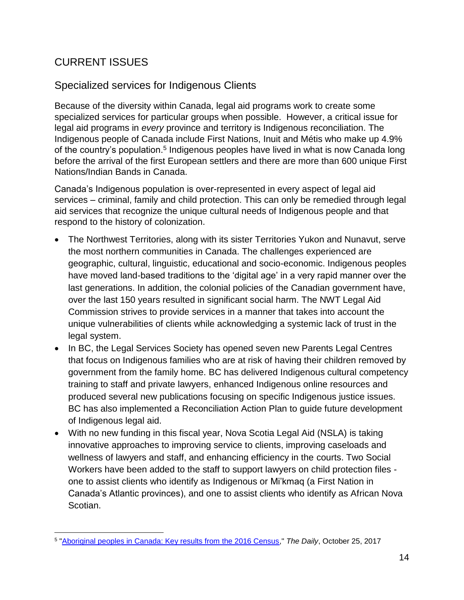## <span id="page-13-0"></span>CURRENT ISSUES

#### <span id="page-13-1"></span>Specialized services for Indigenous Clients

Because of the diversity within Canada, legal aid programs work to create some specialized services for particular groups when possible. However, a critical issue for legal aid programs in *every* province and territory is Indigenous reconciliation. The Indigenous people of Canada include First Nations, Inuit and Métis who make up 4.9% of the country's population.<sup>5</sup> Indigenous peoples have lived in what is now Canada long before the arrival of the first European settlers and there are more than 600 unique First Nations/Indian Bands in Canada.

Canada's Indigenous population is over-represented in every aspect of legal aid services – criminal, family and child protection. This can only be remedied through legal aid services that recognize the unique cultural needs of Indigenous people and that respond to the history of colonization.

- The Northwest Territories, along with its sister Territories Yukon and Nunavut, serve the most northern communities in Canada. The challenges experienced are geographic, cultural, linguistic, educational and socio-economic. Indigenous peoples have moved land-based traditions to the 'digital age' in a very rapid manner over the last generations. In addition, the colonial policies of the Canadian government have, over the last 150 years resulted in significant social harm. The NWT Legal Aid Commission strives to provide services in a manner that takes into account the unique vulnerabilities of clients while acknowledging a systemic lack of trust in the legal system.
- In BC, the Legal Services Society has opened seven new [Parents Legal Centres](https://lss.bc.ca/communications/?news%2F2018%2F12-06) that focus on Indigenous families who are at risk of having their children removed by government from the family home. BC has delivered Indigenous cultural competency training to staff and private lawyers, enhanced [Indigenous online resources](https://aboriginal.legalaid.bc.ca/) and produced several new publications focusing on specific Indigenous justice issues. BC has also implemented a [Reconciliation Action Plan](https://lss.bc.ca/about/reconciliation.php) to guide future development of Indigenous legal aid.
- With no new funding in this fiscal year, Nova Scotia Legal Aid (NSLA) is taking innovative approaches to improving service to clients, improving caseloads and wellness of lawyers and staff, and enhancing efficiency in the courts. Two Social Workers have been added to the staff to support lawyers on child protection files one to assist clients who identify as Indigenous or Mi'kmaq (a First Nation in Canada's Atlantic provinces), and one to assist clients who identify as African Nova Scotian.

 $\overline{a}$ 5 ["Aboriginal peoples in Canada: Key results from the 2016 Census,](https://www150.statcan.gc.ca/n1/daily-quotidien/171025/dq171025a-eng.htm)" *The Daily*, October 25, 2017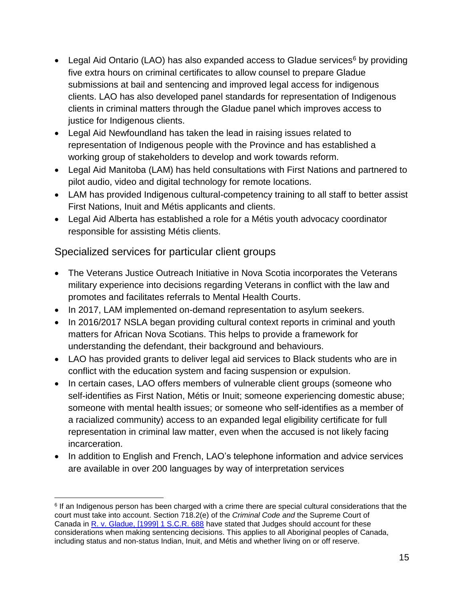- Legal Aid Ontario (LAO) has also expanded access to Gladue services<sup>6</sup> by providing five extra hours on criminal certificates to allow counsel to prepare Gladue submissions at bail and sentencing and improved legal access for indigenous clients. LAO has also developed panel standards for representation of Indigenous clients in criminal matters through the Gladue panel which improves access to justice for Indigenous clients.
- Legal Aid Newfoundland has taken the lead in raising issues related to representation of Indigenous people with the Province and has established a working group of stakeholders to develop and work towards reform.
- Legal Aid Manitoba (LAM) has held consultations with First Nations and partnered to pilot audio, video and digital technology for remote locations.
- LAM has provided Indigenous cultural-competency training to all staff to better assist First Nations, Inuit and Métis applicants and clients.
- Legal Aid Alberta has established a role for a Métis youth advocacy coordinator responsible for assisting Métis clients.

#### <span id="page-14-0"></span>Specialized services for particular client groups

 $\overline{a}$ 

- The Veterans Justice Outreach Initiative in Nova Scotia incorporates the Veterans military experience into decisions regarding Veterans in conflict with the law and promotes and facilitates referrals to Mental Health Courts.
- In 2017, LAM implemented on-demand representation to asylum seekers.
- In 2016/2017 NSLA began providing cultural context reports in criminal and youth matters for African Nova Scotians. This helps to provide a framework for understanding the defendant, their background and behaviours.
- LAO has provided grants to deliver legal aid services to Black students who are in conflict with the education system and facing suspension or expulsion.
- In certain cases, LAO offers members of vulnerable client groups (someone who self-identifies as First Nation, Métis or Inuit; someone experiencing domestic abuse; someone with mental health issues; or someone who self-identifies as a member of a racialized community) access to an expanded legal eligibility certificate for full representation in criminal law matter, even when the accused is not likely facing incarceration.
- In addition to English and French, LAO's telephone information and advice services are available in over 200 languages by way of interpretation services

<sup>&</sup>lt;sup>6</sup> If an Indigenous person has been charged with a crime there are special cultural considerations that the court must take into account. Section 718.2(e) of the *Criminal Code and* the Supreme Court of Canada in [R. v. Gladue, \[1999\] 1 S.C.R. 688](http://scc-csc.lexum.com/scc-csc/scc-csc/en/item/1695/index.do) have stated that Judges should account for these considerations when making sentencing decisions. This applies to all Aboriginal peoples of Canada, including status and non-status Indian, Inuit, and Métis and whether living on or off reserve.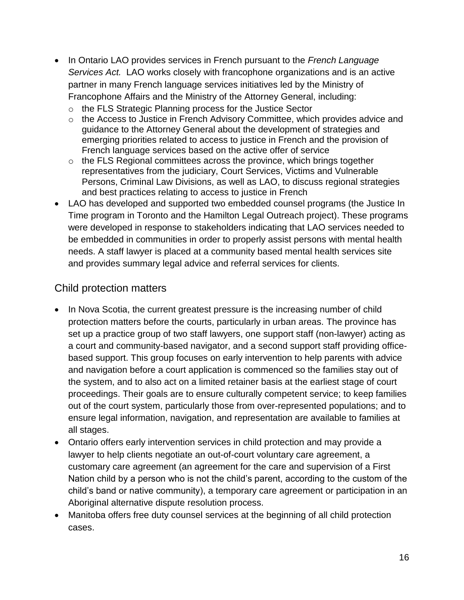- In Ontario LAO provides services in French pursuant to the *French Language Services Act.* LAO works closely with francophone organizations and is an active partner in many French language services initiatives led by the Ministry of Francophone Affairs and the Ministry of the Attorney General, including:
	- o the FLS Strategic Planning process for the Justice Sector
	- o the Access to Justice in French Advisory Committee, which provides advice and guidance to the Attorney General about the development of strategies and emerging priorities related to access to justice in French and the provision of French language services based on the active offer of service
	- o the FLS Regional committees across the province, which brings together representatives from the judiciary, Court Services, Victims and Vulnerable Persons, Criminal Law Divisions, as well as LAO, to discuss regional strategies and best practices relating to access to justice in French
- LAO has developed and supported two embedded counsel programs (the Justice In Time program in Toronto and the Hamilton Legal Outreach project). These programs were developed in response to stakeholders indicating that LAO services needed to be embedded in communities in order to properly assist persons with mental health needs. A staff lawyer is placed at a community based mental health services site and provides summary legal advice and referral services for clients.

#### <span id="page-15-0"></span>Child protection matters

- In Nova Scotia, the current greatest pressure is the increasing number of child protection matters before the courts, particularly in urban areas. The province has set up a practice group of two staff lawyers, one support staff (non-lawyer) acting as a court and community-based navigator, and a second support staff providing officebased support. This group focuses on early intervention to help parents with advice and navigation before a court application is commenced so the families stay out of the system, and to also act on a limited retainer basis at the earliest stage of court proceedings. Their goals are to ensure culturally competent service; to keep families out of the court system, particularly those from over-represented populations; and to ensure legal information, navigation, and representation are available to families at all stages.
- Ontario offers early intervention services in child protection and may provide a lawyer to help clients negotiate an out-of-court voluntary care agreement, a customary care agreement (an agreement for the care and supervision of a First Nation child by a person who is not the child's parent, according to the custom of the child's band or native community), a temporary care agreement or participation in an Aboriginal alternative dispute resolution process.
- Manitoba offers free duty counsel services at the beginning of all child protection cases.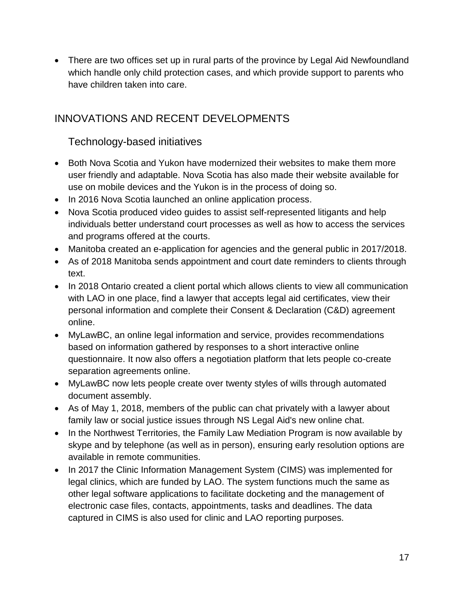• There are two offices set up in rural parts of the province by Legal Aid Newfoundland which handle only child protection cases, and which provide support to parents who have children taken into care.

## <span id="page-16-0"></span>INNOVATIONS AND RECENT DEVELOPMENTS

#### <span id="page-16-1"></span>Technology-based initiatives

- Both Nova Scotia and Yukon have modernized their websites to make them more user friendly and adaptable. Nova Scotia has also made their website available for use on mobile devices and the Yukon is in the process of doing so.
- In 2016 Nova Scotia launched an online application process.
- Nova Scotia produced video guides to assist self-represented litigants and help individuals better understand court processes as well as how to access the services and programs offered at the courts.
- Manitoba created an e-application for agencies and the general public in 2017/2018.
- As of 2018 Manitoba sends appointment and court date reminders to clients through text.
- In 2018 Ontario created a client portal which allows clients to view all communication with LAO in one place, find a lawyer that accepts legal aid certificates, view their personal information and complete their Consent & Declaration (C&D) agreement online.
- MyLawBC, an online legal information and service, provides recommendations based on information gathered by responses to a short interactive online questionnaire. It now also offers a negotiation platform that lets people co-create separation agreements online.
- MyLawBC now lets people create over twenty styles of wills through automated document assembly.
- As of May 1, 2018, members of the public can chat privately with a lawyer about family law or social justice issues through NS Legal Aid's new online chat.
- In the Northwest Territories, the Family Law Mediation Program is now available by skype and by telephone (as well as in person), ensuring early resolution options are available in remote communities.
- In 2017 the Clinic Information Management System (CIMS) was implemented for legal clinics, which are funded by LAO. The system functions much the same as other legal software applications to facilitate docketing and the management of electronic case files, contacts, appointments, tasks and deadlines. The data captured in CIMS is also used for clinic and LAO reporting purposes.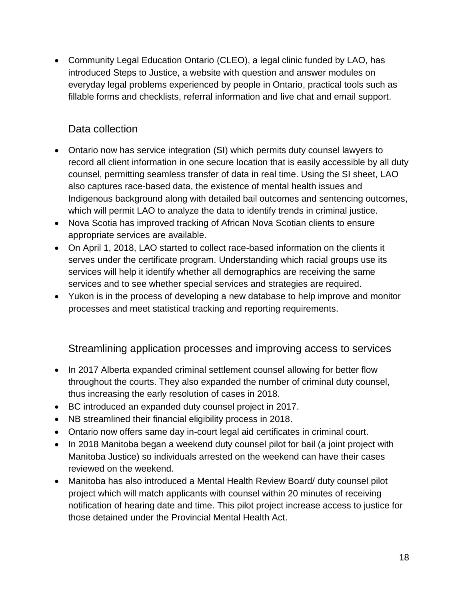• Community Legal Education Ontario (CLEO), a legal clinic funded by LAO, has introduced Steps to Justice, a website with question and answer modules on everyday legal problems experienced by people in Ontario, practical tools such as fillable forms and checklists, referral information and live chat and email support.

### <span id="page-17-0"></span>Data collection

- Ontario now has service integration (SI) which permits duty counsel lawyers to record all client information in one secure location that is easily accessible by all duty counsel, permitting seamless transfer of data in real time. Using the SI sheet, LAO also captures race-based data, the existence of mental health issues and Indigenous background along with detailed bail outcomes and sentencing outcomes, which will permit LAO to analyze the data to identify trends in criminal justice.
- Nova Scotia has improved tracking of African Nova Scotian clients to ensure appropriate services are available.
- On April 1, 2018, LAO started to collect race-based information on the clients it serves under the certificate program. Understanding which racial groups use its services will help it identify whether all demographics are receiving the same services and to see whether special services and strategies are required.
- Yukon is in the process of developing a new database to help improve and monitor processes and meet statistical tracking and reporting requirements.

<span id="page-17-1"></span>Streamlining application processes and improving access to services

- In 2017 Alberta expanded criminal settlement counsel allowing for better flow throughout the courts. They also expanded the number of criminal duty counsel, thus increasing the early resolution of cases in 2018.
- BC introduced an expanded duty counsel project in 2017.
- NB streamlined their financial eligibility process in 2018.
- Ontario now offers same day in-court legal aid certificates in criminal court.
- In 2018 Manitoba began a weekend duty counsel pilot for bail (a joint project with Manitoba Justice) so individuals arrested on the weekend can have their cases reviewed on the weekend.
- Manitoba has also introduced a Mental Health Review Board/ duty counsel pilot project which will match applicants with counsel within 20 minutes of receiving notification of hearing date and time. This pilot project increase access to justice for those detained under the Provincial Mental Health Act.